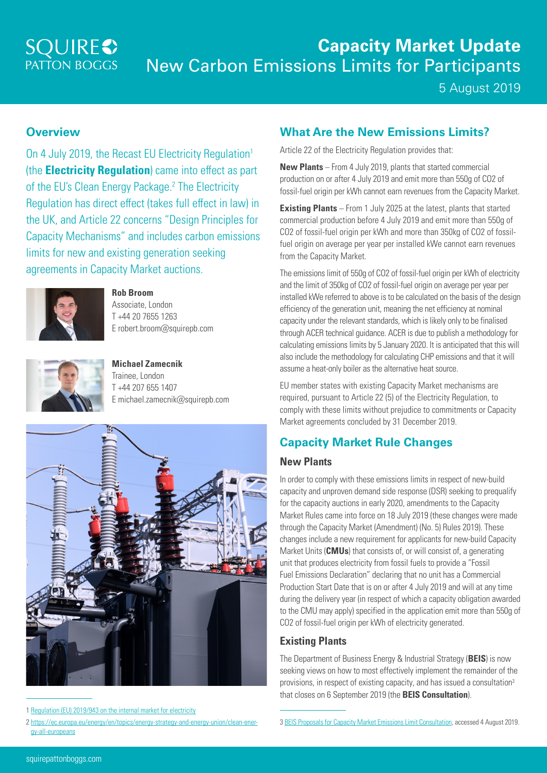# **SQUIRE**<sup>2</sup>

# **Capacity Market Update** New Carbon Emissions Limits for Participants

5 August 2019

#### **Overview**

On 4 July 2019, the Recast EU Electricity Regulation<sup>1</sup> (the **Electricity Regulation**) came into effect as part of the EU's Clean Energy Package.<sup>2</sup> The Electricity Regulation has direct effect (takes full effect in law) in the UK, and Article 22 concerns "Design Principles for Capacity Mechanisms" and includes carbon emissions limits for new and existing generation seeking agreements in Capacity Market auctions.



**Rob Broom** Associate, London T +44 20 7655 1263 E robert.broom@squirepb.com



**Michael Zamecnik** Trainee, London T +44 207 655 1407 E michael.zamecnik@squirepb.com



<sup>1</sup> [Regulation \(EU\) 2019/943 on the internal market for electricity](https://eur-lex.europa.eu/eli/reg/2019/943/oj)

#### **What Are the New Emissions Limits?**

Article 22 of the Electricity Regulation provides that:

**New Plants** – From 4 July 2019, plants that started commercial production on or after 4 July 2019 and emit more than 550g of CO2 of fossil-fuel origin per kWh cannot earn revenues from the Capacity Market.

**Existing Plants** – From 1 July 2025 at the latest, plants that started commercial production before 4 July 2019 and emit more than 550g of CO2 of fossil-fuel origin per kWh and more than 350kg of CO2 of fossilfuel origin on average per year per installed kWe cannot earn revenues from the Capacity Market.

The emissions limit of 550g of CO2 of fossil-fuel origin per kWh of electricity and the limit of 350kg of CO2 of fossil-fuel origin on average per year per installed kWe referred to above is to be calculated on the basis of the design efficiency of the generation unit, meaning the net efficiency at nominal capacity under the relevant standards, which is likely only to be finalised through ACER technical guidance. ACER is due to publish a methodology for calculating emissions limits by 5 January 2020. It is anticipated that this will also include the methodology for calculating CHP emissions and that it will assume a heat-only boiler as the alternative heat source.

EU member states with existing Capacity Market mechanisms are required, pursuant to Article 22 (5) of the Electricity Regulation, to comply with these limits without prejudice to commitments or Capacity Market agreements concluded by 31 December 2019.

## **Capacity Market Rule Changes**

#### **New Plants**

In order to comply with these emissions limits in respect of new-build capacity and unproven demand side response (DSR) seeking to prequalify for the capacity auctions in early 2020, amendments to the Capacity Market Rules came into force on 18 July 2019 (these changes were made through the Capacity Market (Amendment) (No. 5) Rules 2019). These changes include a new requirement for applicants for new-build Capacity Market Units (**CMUs**) that consists of, or will consist of, a generating unit that produces electricity from fossil fuels to provide a "Fossil Fuel Emissions Declaration" declaring that no unit has a Commercial Production Start Date that is on or after 4 July 2019 and will at any time during the delivery year (in respect of which a capacity obligation awarded to the CMU may apply) specified in the application emit more than 550g of CO2 of fossil-fuel origin per kWh of electricity generated.

#### **Existing Plants**

The Department of Business Energy & Industrial Strategy (**BEIS**) is now seeking views on how to most effectively implement the remainder of the provisions, in respect of existing capacity, and has issued a consultation3 that closes on 6 September 2019 (the **BEIS Consultation**).

<sup>2</sup> [https://ec.europa.eu/energy/en/topics/energy-strategy-and-energy-union/clean-ener](https://ec.europa.eu/energy/en/topics/energy-strategy-and-energy-union/clean-energy-all-europeans)[gy-all-europeans](https://ec.europa.eu/energy/en/topics/energy-strategy-and-energy-union/clean-energy-all-europeans)

<sup>3</sup> [BEIS Proposals for Capacity Market Emissions Limit Consultation,](https://assets.publishing.service.gov.uk/government/uploads/system/uploads/attachment_data/file/819768/proposals-capacity-market-emissions-limits-consultation.pdf) accessed 4 August 2019.